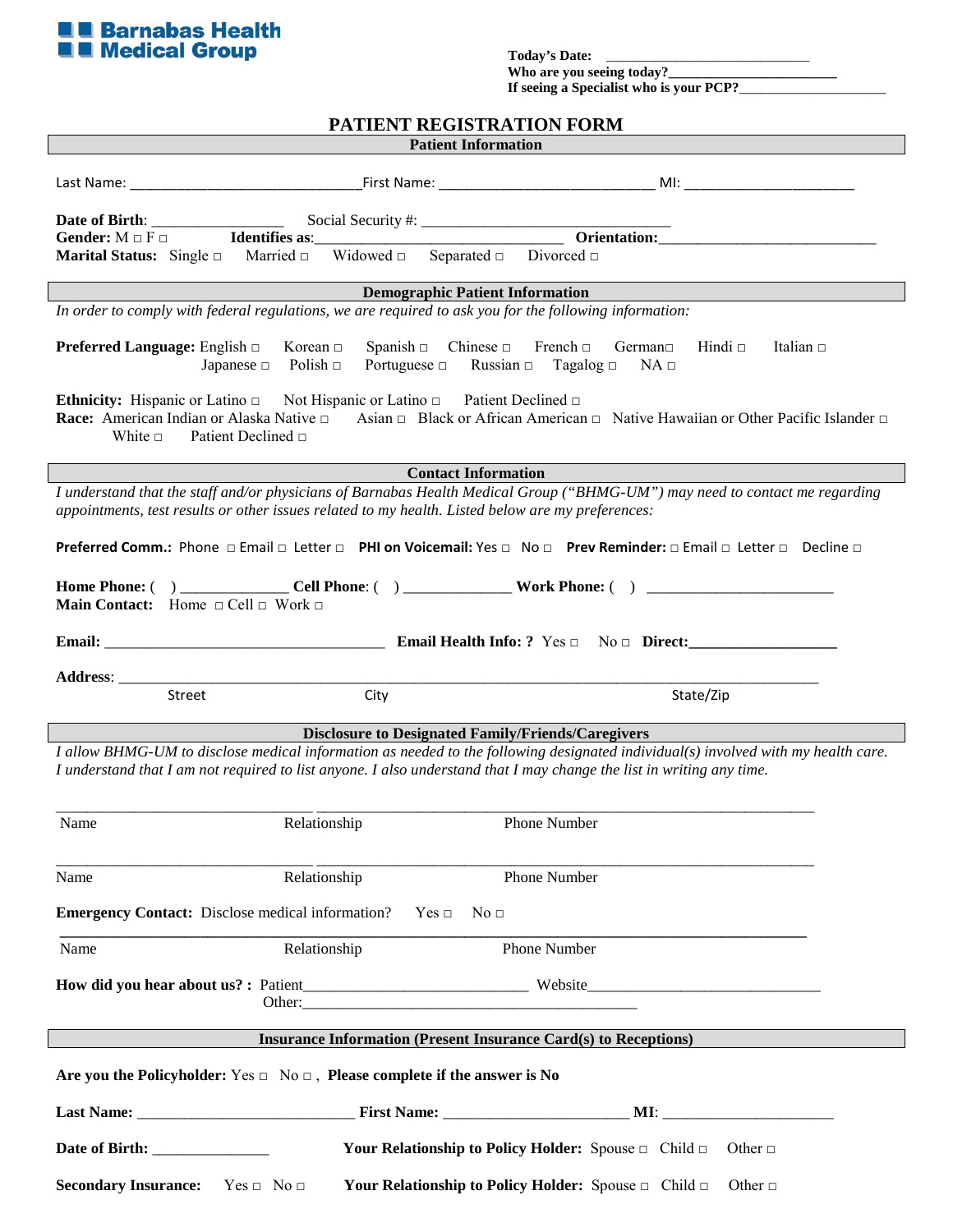

Who are you seeing today?\_ If seeing a Specialist who is your PCP?

## **PATIENT REGISTRATION FORM**

|                                                                                                                                                                                                                                                                                                                         | <b>Marital Status:</b> Single $\Box$ Married $\Box$ Widowed $\Box$ Separated $\Box$ Divorced $\Box$                                                                                    |                                                                                                                                                       |  |
|-------------------------------------------------------------------------------------------------------------------------------------------------------------------------------------------------------------------------------------------------------------------------------------------------------------------------|----------------------------------------------------------------------------------------------------------------------------------------------------------------------------------------|-------------------------------------------------------------------------------------------------------------------------------------------------------|--|
|                                                                                                                                                                                                                                                                                                                         |                                                                                                                                                                                        | <b>Demographic Patient Information</b>                                                                                                                |  |
|                                                                                                                                                                                                                                                                                                                         | In order to comply with federal regulations, we are required to ask you for the following information:                                                                                 |                                                                                                                                                       |  |
|                                                                                                                                                                                                                                                                                                                         | <b>Preferred Language:</b> English $\Box$<br>Korean $\Box$<br>Japanese $\Box$ Polish $\Box$                                                                                            | Spanish $\Box$ Chinese $\Box$ French $\Box$ German $\Box$ Hindi $\Box$<br>Italian $\Box$<br>Portuguese $\Box$ Russian $\Box$ Tagalog $\Box$ NA $\Box$ |  |
| White $\Box$                                                                                                                                                                                                                                                                                                            | <b>Ethnicity:</b> Hispanic or Latino $\Box$ Not Hispanic or Latino $\Box$ Patient Declined $\Box$<br><b>Race:</b> American Indian or Alaska Native $\Box$<br>Patient Declined $\sqcap$ | Asian $\Box$ Black or African American $\Box$ Native Hawaiian or Other Pacific Islander $\Box$                                                        |  |
|                                                                                                                                                                                                                                                                                                                         |                                                                                                                                                                                        | <b>Contact Information</b>                                                                                                                            |  |
|                                                                                                                                                                                                                                                                                                                         | appointments, test results or other issues related to my health. Listed below are my preferences:                                                                                      | I understand that the staff and/or physicians of Barnabas Health Medical Group ("BHMG-UM") may need to contact me regarding                           |  |
|                                                                                                                                                                                                                                                                                                                         |                                                                                                                                                                                        | Preferred Comm.: Phone □ Email □ Letter □ PHI on Voicemail: Yes □ No □ Prev Reminder: □ Email □ Letter □ Decline □                                    |  |
|                                                                                                                                                                                                                                                                                                                         | <b>Main Contact:</b> Home $\Box$ Cell $\Box$ Work $\Box$                                                                                                                               |                                                                                                                                                       |  |
|                                                                                                                                                                                                                                                                                                                         |                                                                                                                                                                                        |                                                                                                                                                       |  |
|                                                                                                                                                                                                                                                                                                                         |                                                                                                                                                                                        |                                                                                                                                                       |  |
|                                                                                                                                                                                                                                                                                                                         | Street<br>City                                                                                                                                                                         | State/Zip                                                                                                                                             |  |
|                                                                                                                                                                                                                                                                                                                         |                                                                                                                                                                                        |                                                                                                                                                       |  |
| <b>Disclosure to Designated Family/Friends/Caregivers</b><br>I allow BHMG-UM to disclose medical information as needed to the following designated individual(s) involved with my health care.<br>I understand that I am not required to list anyone. I also understand that I may change the list in writing any time. |                                                                                                                                                                                        |                                                                                                                                                       |  |
| Name                                                                                                                                                                                                                                                                                                                    | Relationship                                                                                                                                                                           | <b>Phone Number</b>                                                                                                                                   |  |
| Name                                                                                                                                                                                                                                                                                                                    | Relationship                                                                                                                                                                           | Phone Number                                                                                                                                          |  |
| Emergency Contact: Disclose medical information? Yes $\Box$<br>No <sub>1</sub>                                                                                                                                                                                                                                          |                                                                                                                                                                                        |                                                                                                                                                       |  |
| Name                                                                                                                                                                                                                                                                                                                    | Relationship                                                                                                                                                                           | Phone Number                                                                                                                                          |  |
|                                                                                                                                                                                                                                                                                                                         |                                                                                                                                                                                        |                                                                                                                                                       |  |
|                                                                                                                                                                                                                                                                                                                         |                                                                                                                                                                                        | <b>Insurance Information (Present Insurance Card(s) to Receptions)</b>                                                                                |  |
| Are you the Policyholder: $Yes \Box No \Box$ , Please complete if the answer is No                                                                                                                                                                                                                                      |                                                                                                                                                                                        |                                                                                                                                                       |  |
|                                                                                                                                                                                                                                                                                                                         |                                                                                                                                                                                        |                                                                                                                                                       |  |
|                                                                                                                                                                                                                                                                                                                         | Date of Birth: ________________                                                                                                                                                        | <b>Your Relationship to Policy Holder:</b> Spouse $\Box$ Child $\Box$<br>Other $\square$                                                              |  |
|                                                                                                                                                                                                                                                                                                                         | <b>Secondary Insurance:</b> Yes $\Box$ No $\Box$                                                                                                                                       | Your Relationship to Policy Holder: Spouse $\Box$ Child $\Box$<br>Other $\Box$                                                                        |  |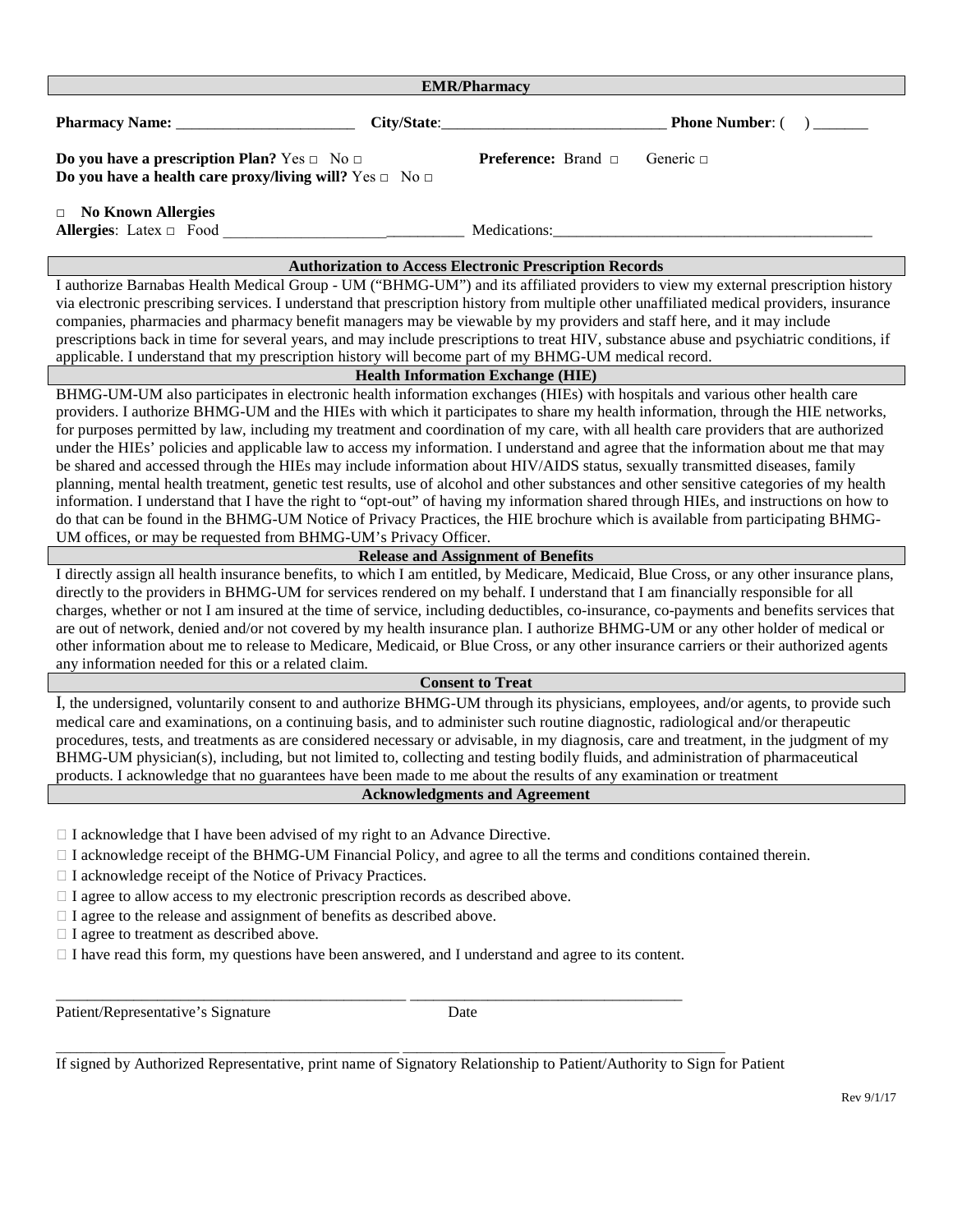| <b>EMR/Pharmacy</b>                                                                                                                                                                                                                                                                                                                                                                                                                                                                                                                                                                                                                                                                                                                                           |                                           |                                                                                                                                                                                                                                                                                                                                                                                                                                                                                                                                                                                                                                                                                                                                                                                                                                                                                                                                                                                                                                                                                                       |  |
|---------------------------------------------------------------------------------------------------------------------------------------------------------------------------------------------------------------------------------------------------------------------------------------------------------------------------------------------------------------------------------------------------------------------------------------------------------------------------------------------------------------------------------------------------------------------------------------------------------------------------------------------------------------------------------------------------------------------------------------------------------------|-------------------------------------------|-------------------------------------------------------------------------------------------------------------------------------------------------------------------------------------------------------------------------------------------------------------------------------------------------------------------------------------------------------------------------------------------------------------------------------------------------------------------------------------------------------------------------------------------------------------------------------------------------------------------------------------------------------------------------------------------------------------------------------------------------------------------------------------------------------------------------------------------------------------------------------------------------------------------------------------------------------------------------------------------------------------------------------------------------------------------------------------------------------|--|
|                                                                                                                                                                                                                                                                                                                                                                                                                                                                                                                                                                                                                                                                                                                                                               | City/State:                               | <b>Phone Number: (</b>                                                                                                                                                                                                                                                                                                                                                                                                                                                                                                                                                                                                                                                                                                                                                                                                                                                                                                                                                                                                                                                                                |  |
| Do you have a prescription Plan? Yes $\Box$ No $\Box$<br>Do you have a health care proxy/living will? Yes $\Box$ No $\Box$                                                                                                                                                                                                                                                                                                                                                                                                                                                                                                                                                                                                                                    |                                           | <b>Preference:</b> Brand □<br>Generic $\Box$                                                                                                                                                                                                                                                                                                                                                                                                                                                                                                                                                                                                                                                                                                                                                                                                                                                                                                                                                                                                                                                          |  |
| <b>No Known Allergies</b><br>$\Box$<br>Allergies: Latex □ Food                                                                                                                                                                                                                                                                                                                                                                                                                                                                                                                                                                                                                                                                                                |                                           | Medications:                                                                                                                                                                                                                                                                                                                                                                                                                                                                                                                                                                                                                                                                                                                                                                                                                                                                                                                                                                                                                                                                                          |  |
|                                                                                                                                                                                                                                                                                                                                                                                                                                                                                                                                                                                                                                                                                                                                                               |                                           | <b>Authorization to Access Electronic Prescription Records</b>                                                                                                                                                                                                                                                                                                                                                                                                                                                                                                                                                                                                                                                                                                                                                                                                                                                                                                                                                                                                                                        |  |
| applicable. I understand that my prescription history will become part of my BHMG-UM medical record.                                                                                                                                                                                                                                                                                                                                                                                                                                                                                                                                                                                                                                                          |                                           | I authorize Barnabas Health Medical Group - UM ("BHMG-UM") and its affiliated providers to view my external prescription history<br>via electronic prescribing services. I understand that prescription history from multiple other unaffiliated medical providers, insurance<br>companies, pharmacies and pharmacy benefit managers may be viewable by my providers and staff here, and it may include<br>prescriptions back in time for several years, and may include prescriptions to treat HIV, substance abuse and psychiatric conditions, if                                                                                                                                                                                                                                                                                                                                                                                                                                                                                                                                                   |  |
|                                                                                                                                                                                                                                                                                                                                                                                                                                                                                                                                                                                                                                                                                                                                                               | <b>Health Information Exchange (HIE)</b>  |                                                                                                                                                                                                                                                                                                                                                                                                                                                                                                                                                                                                                                                                                                                                                                                                                                                                                                                                                                                                                                                                                                       |  |
| UM offices, or may be requested from BHMG-UM's Privacy Officer.                                                                                                                                                                                                                                                                                                                                                                                                                                                                                                                                                                                                                                                                                               |                                           | BHMG-UM-UM also participates in electronic health information exchanges (HIEs) with hospitals and various other health care<br>providers. I authorize BHMG-UM and the HIEs with which it participates to share my health information, through the HIE networks,<br>for purposes permitted by law, including my treatment and coordination of my care, with all health care providers that are authorized<br>under the HIEs' policies and applicable law to access my information. I understand and agree that the information about me that may<br>be shared and accessed through the HIEs may include information about HIV/AIDS status, sexually transmitted diseases, family<br>planning, mental health treatment, genetic test results, use of alcohol and other substances and other sensitive categories of my health<br>information. I understand that I have the right to "opt-out" of having my information shared through HIEs, and instructions on how to<br>do that can be found in the BHMG-UM Notice of Privacy Practices, the HIE brochure which is available from participating BHMG- |  |
|                                                                                                                                                                                                                                                                                                                                                                                                                                                                                                                                                                                                                                                                                                                                                               | <b>Release and Assignment of Benefits</b> |                                                                                                                                                                                                                                                                                                                                                                                                                                                                                                                                                                                                                                                                                                                                                                                                                                                                                                                                                                                                                                                                                                       |  |
| I directly assign all health insurance benefits, to which I am entitled, by Medicare, Medicaid, Blue Cross, or any other insurance plans,<br>directly to the providers in BHMG-UM for services rendered on my behalf. I understand that I am financially responsible for all<br>charges, whether or not I am insured at the time of service, including deductibles, co-insurance, co-payments and benefits services that<br>are out of network, denied and/or not covered by my health insurance plan. I authorize BHMG-UM or any other holder of medical or<br>other information about me to release to Medicare, Medicaid, or Blue Cross, or any other insurance carriers or their authorized agents<br>any information needed for this or a related claim. |                                           |                                                                                                                                                                                                                                                                                                                                                                                                                                                                                                                                                                                                                                                                                                                                                                                                                                                                                                                                                                                                                                                                                                       |  |
|                                                                                                                                                                                                                                                                                                                                                                                                                                                                                                                                                                                                                                                                                                                                                               | <b>Consent to Treat</b>                   |                                                                                                                                                                                                                                                                                                                                                                                                                                                                                                                                                                                                                                                                                                                                                                                                                                                                                                                                                                                                                                                                                                       |  |
|                                                                                                                                                                                                                                                                                                                                                                                                                                                                                                                                                                                                                                                                                                                                                               |                                           | I, the undersigned, voluntarily consent to and authorize BHMG-UM through its physicians, employees, and/or agents, to provide such<br>medical care and examinations, on a continuing basis, and to administer such routine diagnostic, radiological and/or therapeutic<br>procedures, tests, and treatments as are considered necessary or advisable, in my diagnosis, care and treatment, in the judgment of my<br>BHMG-UM physician(s), including, but not limited to, collecting and testing bodily fluids, and administration of pharmaceutical<br>products. I acknowledge that no guarantees have been made to me about the results of any examination or treatment                                                                                                                                                                                                                                                                                                                                                                                                                              |  |
|                                                                                                                                                                                                                                                                                                                                                                                                                                                                                                                                                                                                                                                                                                                                                               | <b>Acknowledgments and Agreement</b>      |                                                                                                                                                                                                                                                                                                                                                                                                                                                                                                                                                                                                                                                                                                                                                                                                                                                                                                                                                                                                                                                                                                       |  |
| $\Box$ I acknowledge that I have been advised of my right to an Advance Directive.<br>$\Box$ I acknowledge receipt of the BHMG-UM Financial Policy, and agree to all the terms and conditions contained therein.<br>□ I acknowledge receipt of the Notice of Privacy Practices.<br>$\Box$ I agree to allow access to my electronic prescription records as described above.<br>$\Box$ I agree to the release and assignment of benefits as described above.<br>$\Box$ I agree to treatment as described above.<br>I have read this form, my questions have been answered, and I understand and agree to its content.                                                                                                                                          |                                           |                                                                                                                                                                                                                                                                                                                                                                                                                                                                                                                                                                                                                                                                                                                                                                                                                                                                                                                                                                                                                                                                                                       |  |
| Patient/Representative's Signature                                                                                                                                                                                                                                                                                                                                                                                                                                                                                                                                                                                                                                                                                                                            | Date                                      |                                                                                                                                                                                                                                                                                                                                                                                                                                                                                                                                                                                                                                                                                                                                                                                                                                                                                                                                                                                                                                                                                                       |  |
|                                                                                                                                                                                                                                                                                                                                                                                                                                                                                                                                                                                                                                                                                                                                                               |                                           | If signed by Authorized Representative, print name of Signatory Relationship to Patient/Authority to Sign for Patient                                                                                                                                                                                                                                                                                                                                                                                                                                                                                                                                                                                                                                                                                                                                                                                                                                                                                                                                                                                 |  |